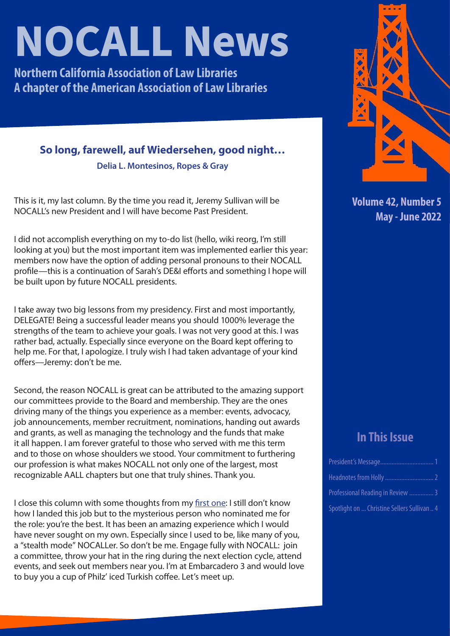# **NOCALL News**

**Northern California Association of Law Libraries A chapter of the American Association of Law Libraries**

### **So long, farewell, auf Wiedersehen, good night…**

**Delia L. Montesinos, Ropes & Gray**

This is it, my last column. By the time you read it, Jeremy Sullivan will be NOCALL's new President and I will have become Past President.

I did not accomplish everything on my to-do list (hello, wiki reorg, I'm still looking at you) but the most important item was implemented earlier this year: members now have the option of adding personal pronouns to their NOCALL profile—this is a continuation of Sarah's DE&I efforts and something I hope will be built upon by future NOCALL presidents.

I take away two big lessons from my presidency. First and most importantly, DELEGATE! Being a successful leader means you should 1000% leverage the strengths of the team to achieve your goals. I was not very good at this. I was rather bad, actually. Especially since everyone on the Board kept offering to help me. For that, I apologize. I truly wish I had taken advantage of your kind offers—Jeremy: don't be me.

Second, the reason NOCALL is great can be attributed to the amazing support our committees provide to the Board and membership. They are the ones driving many of the things you experience as a member: events, advocacy, job announcements, member recruitment, nominations, handing out awards and grants, as well as managing the technology and the funds that make it all happen. I am forever grateful to those who served with me this term and to those on whose shoulders we stood. Your commitment to furthering our profession is what makes NOCALL not only one of the largest, most recognizable AALL chapters but one that truly shines. Thank you.

I close this column with some thoughts from my [first one:](https://nocall.org/wp-content/uploads/2021/10/SeptOct2021.pdf) I still don't know how I landed this job but to the mysterious person who nominated me for the role: you're the best. It has been an amazing experience which I would have never sought on my own. Especially since I used to be, like many of you, a "stealth mode" NOCALLer. So don't be me. Engage fully with NOCALL: join a committee, throw your hat in the ring during the next election cycle, attend events, and seek out members near you. I'm at Embarcadero 3 and would love to buy you a cup of Philz' iced Turkish coffee. Let's meet up.



**Volume 42, Number 5 May - June 2022**

## **In This Issue**

| Professional Reading in Review  3           |  |
|---------------------------------------------|--|
| Spotlight on  Christine Sellers Sullivan  4 |  |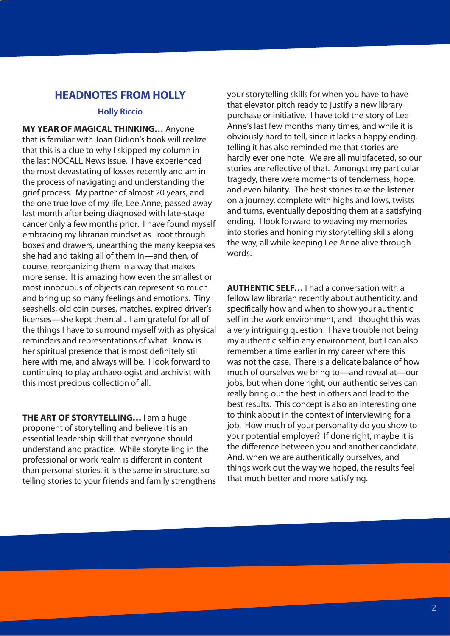## <span id="page-1-0"></span>**HEADNOTES FROM HOLLY**

#### **Holly Riccio**

**MY YEAR OF MAGICAL THINKING…** Anyone that is familiar with Joan Didion's book will realize that this is a clue to why I skipped my column in the last NOCALL News issue. I have experienced the most devastating of losses recently and am in the process of navigating and understanding the grief process. My partner of almost 20 years, and the one true love of my life, Lee Anne, passed away last month after being diagnosed with late-stage cancer only a few months prior. I have found myself embracing my librarian mindset as I root through boxes and drawers, unearthing the many keepsakes she had and taking all of them in—and then, of course, reorganizing them in a way that makes more sense. It is amazing how even the smallest or most innocuous of objects can represent so much and bring up so many feelings and emotions. Tiny seashells, old coin purses, matches, expired driver's licenses—she kept them all. I am grateful for all of the things I have to surround myself with as physical reminders and representations of what I know is her spiritual presence that is most definitely still here with me, and always will be. I look forward to continuing to play archaeologist and archivist with this most precious collection of all.

**THE ART OF STORYTELLING…** I am a huge proponent of storytelling and believe it is an essential leadership skill that everyone should understand and practice. While storytelling in the professional or work realm is different in content than personal stories, it is the same in structure, so telling stories to your friends and family strengthens your storytelling skills for when you have to have that elevator pitch ready to justify a new library purchase or initiative. I have told the story of Lee Anne's last few months many times, and while it is obviously hard to tell, since it lacks a happy ending, telling it has also reminded me that stories are hardly ever one note. We are all multifaceted, so our stories are reflective of that. Amongst my particular tragedy, there were moments of tenderness, hope, and even hilarity. The best stories take the listener on a journey, complete with highs and lows, twists and turns, eventually depositing them at a satisfying ending. I look forward to weaving my memories into stories and honing my storytelling skills along the way, all while keeping Lee Anne alive through words.

**AUTHENTIC SELF…** I had a conversation with a fellow law librarian recently about authenticity, and specifically how and when to show your authentic self in the work environment, and I thought this was a very intriguing question. I have trouble not being my authentic self in any environment, but I can also remember a time earlier in my career where this was not the case. There is a delicate balance of how much of ourselves we bring to—and reveal at—our jobs, but when done right, our authentic selves can really bring out the best in others and lead to the best results. This concept is also an interesting one to think about in the context of interviewing for a job. How much of your personality do you show to your potential employer? If done right, maybe it is the difference between you and another candidate. And, when we are authentically ourselves, and things work out the way we hoped, the results feel that much better and more satisfying.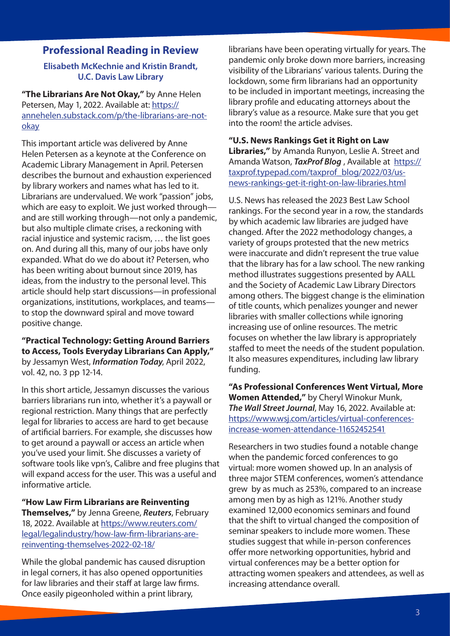#### <span id="page-2-0"></span>**Professional Reading in Review**

#### **Elisabeth McKechnie and Kristin Brandt, U.C. Davis Law Library**

**"The Librarians Are Not Okay,"** by Anne Helen Petersen, May 1, 2022. Available at: [https://](https://annehelen.substack.com/p/the-librarians-are-not-okay) [annehelen.substack.com/p/the-librarians-are-not](https://annehelen.substack.com/p/the-librarians-are-not-okay)[okay](https://annehelen.substack.com/p/the-librarians-are-not-okay)

This important article was delivered by Anne Helen Petersen as a keynote at the Conference on Academic Library Management in April. Petersen describes the burnout and exhaustion experienced by library workers and names what has led to it. Librarians are undervalued. We work "passion" jobs, which are easy to exploit. We just worked through and are still working through—not only a pandemic, but also multiple climate crises, a reckoning with racial injustice and systemic racism, … the list goes on. And during all this, many of our jobs have only expanded. What do we do about it? Petersen, who has been writing about burnout since 2019, has ideas, from the industry to the personal level. This article should help start discussions—in professional organizations, institutions, workplaces, and teams to stop the downward spiral and move toward positive change.

#### **"Practical Technology: Getting Around Barriers to Access, Tools Everyday Librarians Can Apply,"** by Jessamyn West, *Information Today*, April 2022, vol. 42, no. 3 pp 12-14.

In this short article, Jessamyn discusses the various barriers librarians run into, whether it's a paywall or regional restriction. Many things that are perfectly legal for libraries to access are hard to get because of artificial barriers. For example, she discusses how to get around a paywall or access an article when you've used your limit. She discusses a variety of software tools like vpn's, Calibre and free plugins that will expand access for the user. This was a useful and informative article.

#### **"How Law Firm Librarians are Reinventing Themselves,"** by Jenna Greene, *Reuters*, February 18, 2022. Available at [https://www.reuters.com/](https://www.reuters.com/legal/legalindustry/how-law-firm-librarians-are-reinventing-themselves-2022-02-18/) [legal/legalindustry/how-law-firm-librarians-are](https://www.reuters.com/legal/legalindustry/how-law-firm-librarians-are-reinventing-themselves-2022-02-18/)[reinventing-themselves-2022-02-18/](https://www.reuters.com/legal/legalindustry/how-law-firm-librarians-are-reinventing-themselves-2022-02-18/)

While the global pandemic has caused disruption in legal corners, it has also opened opportunities for law libraries and their staff at large law firms. Once easily pigeonholed within a print library,

librarians have been operating virtually for years. The pandemic only broke down more barriers, increasing visibility of the Librarians' various talents. During the lockdown, some firm librarians had an opportunity to be included in important meetings, increasing the library profile and educating attorneys about the library's value as a resource. Make sure that you get into the room! the article advises.

#### **"U.S. News Rankings Get it Right on Law**

**Libraries,"** by Amanda Runyon, Leslie A. Street and Amanda Watson, *TaxProf Blog* , Available at [https://](https://taxprof.typepad.com/taxprof_blog/2022/03/us-news-rankings-get-it-right-on-law-libraries.html) [taxprof.typepad.com/taxprof\\_blog/2022/03/us](https://taxprof.typepad.com/taxprof_blog/2022/03/us-news-rankings-get-it-right-on-law-libraries.html)[news-rankings-get-it-right-on-law-libraries.html](https://taxprof.typepad.com/taxprof_blog/2022/03/us-news-rankings-get-it-right-on-law-libraries.html)

U.S. News has released the 2023 Best Law School rankings. For the second year in a row, the standards by which academic law libraries are judged have changed. After the 2022 methodology changes, a variety of groups protested that the new metrics were inaccurate and didn't represent the true value that the library has for a law school. The new ranking method illustrates suggestions presented by AALL and the Society of Academic Law Library Directors among others. The biggest change is the elimination of title counts, which penalizes younger and newer libraries with smaller collections while ignoring increasing use of online resources. The metric focuses on whether the law library is appropriately staffed to meet the needs of the student population. It also measures expenditures, including law library funding.

**"As Professional Conferences Went Virtual, More Women Attended,"** by Cheryl Winokur Munk, *The Wall Street Journal*, May 16, 2022. Available at: [https://www.wsj.com/articles/virtual-conferences](https://www.wsj.com/articles/virtual-conferences-increase-women-attendance-11652452541)[increase-women-attendance-11652452541](https://www.wsj.com/articles/virtual-conferences-increase-women-attendance-11652452541)

Researchers in two studies found a notable change when the pandemic forced conferences to go virtual: more women showed up. In an analysis of three major STEM conferences, women's attendance grew by as much as 253%, compared to an increase among men by as high as 121%. Another study examined 12,000 economics seminars and found that the shift to virtual changed the composition of seminar speakers to include more women. These studies suggest that while in-person conferences offer more networking opportunities, hybrid and virtual conferences may be a better option for attracting women speakers and attendees, as well as increasing attendance overall.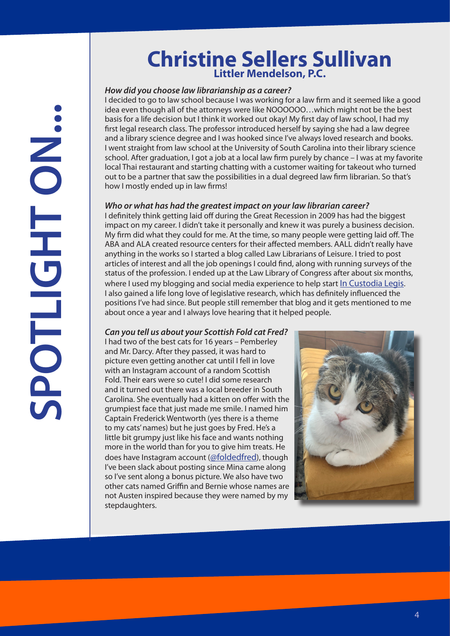## **Christine Sellers Sullivan Littler Mendelson, P.C.**

#### <span id="page-3-0"></span>*How did you choose law librarianship as a career?*

I decided to go to law school because I was working for a law firm and it seemed like a good idea even though all of the attorneys were like NOOOOOO…which might not be the best basis for a life decision but I think it worked out okay! My first day of law school, I had my first legal research class. The professor introduced herself by saying she had a law degree and a library science degree and I was hooked since I've always loved research and books. I went straight from law school at the University of South Carolina into their library science school. After graduation, I got a job at a local law firm purely by chance – I was at my favorite local Thai restaurant and starting chatting with a customer waiting for takeout who turned out to be a partner that saw the possibilities in a dual degreed law firm librarian. So that's how I mostly ended up in law firms!

#### *Who or what has had the greatest impact on your law librarian career?*

I definitely think getting laid off during the Great Recession in 2009 has had the biggest impact on my career. I didn't take it personally and knew it was purely a business decision. My firm did what they could for me. At the time, so many people were getting laid off. The ABA and ALA created resource centers for their affected members. AALL didn't really have anything in the works so I started a blog called Law Librarians of Leisure. I tried to post articles of interest and all the job openings I could find, along with running surveys of the status of the profession. I ended up at the Law Library of Congress after about six months, where I used my blogging and social media experience to help start [In Custodia Legis](https://blogs.loc.gov/law/). I also gained a life long love of legislative research, which has definitely influenced the positions I've had since. But people still remember that blog and it gets mentioned to me about once a year and I always love hearing that it helped people.

#### *Can you tell us about your Scottish Fold cat Fred?*

I had two of the best cats for 16 years – Pemberley and Mr. Darcy. After they passed, it was hard to picture even getting another cat until I fell in love with an Instagram account of a random Scottish Fold. Their ears were so cute! I did some research and it turned out there was a local breeder in South Carolina. She eventually had a kitten on offer with the grumpiest face that just made me smile. I named him Captain Frederick Wentworth (yes there is a theme to my cats' names) but he just goes by Fred. He's a little bit grumpy just like his face and wants nothing more in the world than for you to give him treats. He does have Instagram account [\(@foldedfred\)](https://www.instagram.com/foldedfred/?hl=en), though I've been slack about posting since Mina came along so I've sent along a bonus picture. We also have two other cats named Griffin and Bernie whose names are not Austen inspired because they were named by my stepdaughters.

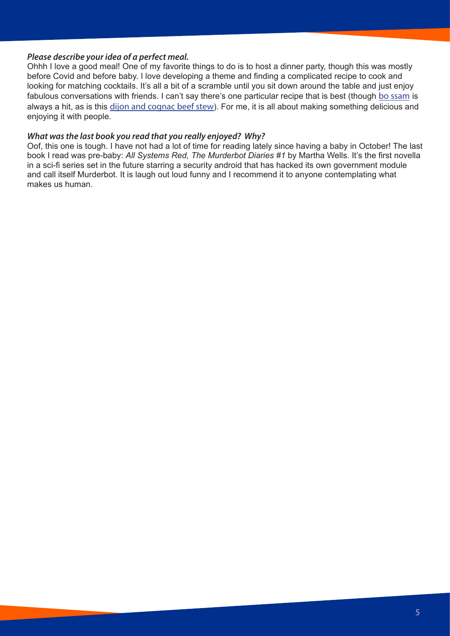#### *Please describe your idea of a perfect meal.*

Ohhh I love a good meal! One of my favorite things to do is to host a dinner party, though this was mostly before Covid and before baby. I love developing a theme and finding a complicated recipe to cook and looking for matching cocktails. It's all a bit of a scramble until you sit down around the table and just enjoy fabulous conversations with friends. I can't say there's one particular recipe that is best (though [bo ssam](https://cooking.nytimes.com/recipes/12197-momofukus-bo-ssam) is always a hit, as is this [dijon and cognac beef stew](https://smittenkitchen.com/2014/02/dijon-and-cognac-beef-stew/)). For me, it is all about making something delicious and enjoying it with people.

#### *What was the last book you read that you really enjoyed? Why?*

Oof, this one is tough. I have not had a lot of time for reading lately since having a baby in October! The last book I read was pre-baby: *All Systems Red, The Murderbot Diaries #1* by Martha Wells. It's the first novella in a sci-fi series set in the future starring a security android that has hacked its own government module and call itself Murderbot. It is laugh out loud funny and I recommend it to anyone contemplating what makes us human.